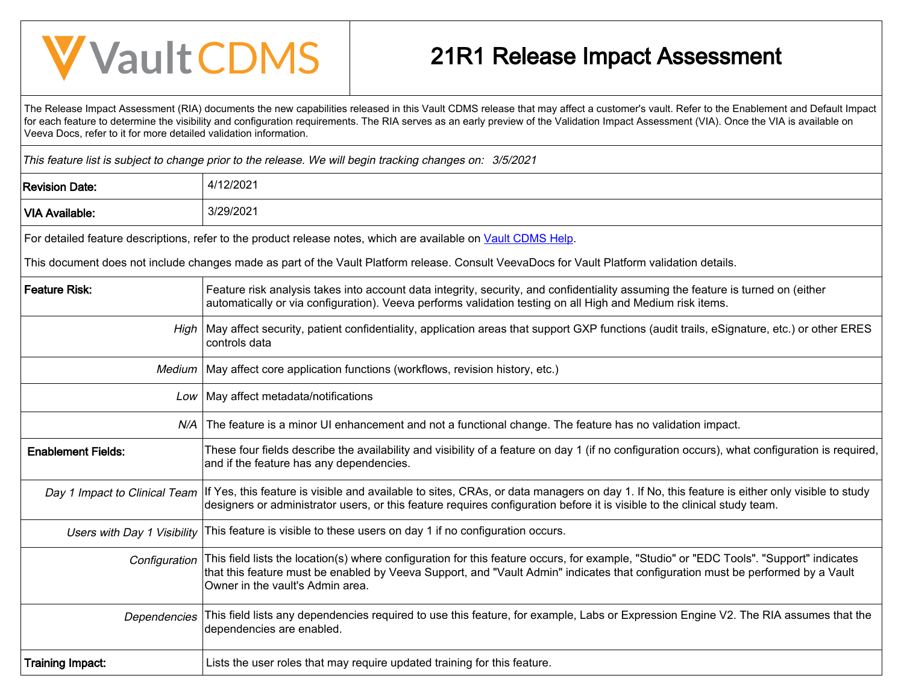## **V** Vault CDMS

## 21R1 Release Impact Assessment

The Release Impact Assessment (RIA) documents the new capabilities released in this Vault CDMS release that may affect a customer's vault. Refer to the Enablement and Default Impact for each feature to determine the visibility and configuration requirements. The RIA serves as an early preview of the Validation Impact Assessment (VIA). Once the VIA is available on Veeva Docs, refer to it for more detailed validation information.

This feature list is subject to change prior to the release. We will begin tracking changes on: 3/5/2021

| <b>Revision Date:</b>       | 4/12/2021                                                                                                                                                                                                                                                                                                      |  |  |  |  |  |  |
|-----------------------------|----------------------------------------------------------------------------------------------------------------------------------------------------------------------------------------------------------------------------------------------------------------------------------------------------------------|--|--|--|--|--|--|
| <b>VIA Available:</b>       | 3/29/2021                                                                                                                                                                                                                                                                                                      |  |  |  |  |  |  |
|                             | For detailed feature descriptions, refer to the product release notes, which are available on Vault CDMS Help.                                                                                                                                                                                                 |  |  |  |  |  |  |
|                             | This document does not include changes made as part of the Vault Platform release. Consult VeevaDocs for Vault Platform validation details.                                                                                                                                                                    |  |  |  |  |  |  |
| <b>Feature Risk:</b>        | Feature risk analysis takes into account data integrity, security, and confidentiality assuming the feature is turned on (either<br>automatically or via configuration). Veeva performs validation testing on all High and Medium risk items.                                                                  |  |  |  |  |  |  |
|                             | High   May affect security, patient confidentiality, application areas that support GXP functions (audit trails, eSignature, etc.) or other ERES<br>controls data                                                                                                                                              |  |  |  |  |  |  |
| Medium                      | May affect core application functions (workflows, revision history, etc.)                                                                                                                                                                                                                                      |  |  |  |  |  |  |
| Low                         | May affect metadata/notifications                                                                                                                                                                                                                                                                              |  |  |  |  |  |  |
|                             | N/A The feature is a minor UI enhancement and not a functional change. The feature has no validation impact.                                                                                                                                                                                                   |  |  |  |  |  |  |
| <b>Enablement Fields:</b>   | These four fields describe the availability and visibility of a feature on day 1 (if no configuration occurs), what configuration is required,<br>and if the feature has any dependencies.                                                                                                                     |  |  |  |  |  |  |
|                             | Day 1 Impact to Clinical Team  If Yes, this feature is visible and available to sites, CRAs, or data managers on day 1. If No, this feature is either only visible to study<br>designers or administrator users, or this feature requires configuration before it is visible to the clinical study team.       |  |  |  |  |  |  |
| Users with Day 1 Visibility | This feature is visible to these users on day 1 if no configuration occurs.                                                                                                                                                                                                                                    |  |  |  |  |  |  |
| Configuration               | This field lists the location(s) where configuration for this feature occurs, for example, "Studio" or "EDC Tools". "Support" indicates<br>that this feature must be enabled by Veeva Support, and "Vault Admin" indicates that configuration must be performed by a Vault<br>Owner in the vault's Admin area. |  |  |  |  |  |  |
| Dependencies                | This field lists any dependencies required to use this feature, for example, Labs or Expression Engine V2. The RIA assumes that the<br>dependencies are enabled.                                                                                                                                               |  |  |  |  |  |  |
| <b>Training Impact:</b>     | Lists the user roles that may require updated training for this feature.                                                                                                                                                                                                                                       |  |  |  |  |  |  |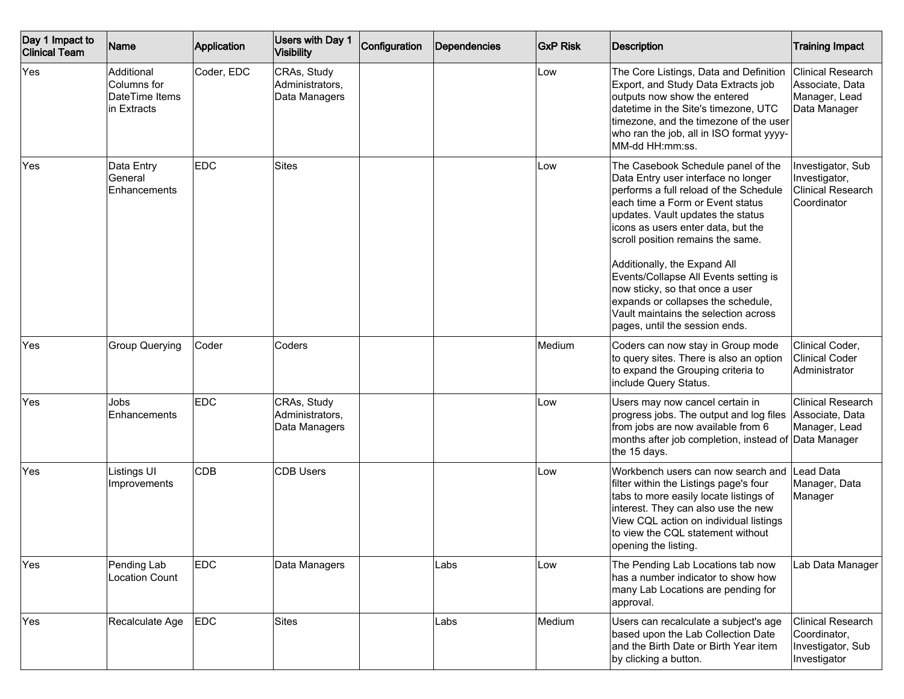| Day 1 Impact to<br><b>Clinical Team</b> | Name                                                       | Application | Users with Day 1<br><b>Visibility</b>           | Configuration | Dependencies | <b>GxP Risk</b> | <b>Description</b>                                                                                                                                                                                                                                                                                                                                                                                                                                                                                  | <b>Training Impact</b>                                                        |
|-----------------------------------------|------------------------------------------------------------|-------------|-------------------------------------------------|---------------|--------------|-----------------|-----------------------------------------------------------------------------------------------------------------------------------------------------------------------------------------------------------------------------------------------------------------------------------------------------------------------------------------------------------------------------------------------------------------------------------------------------------------------------------------------------|-------------------------------------------------------------------------------|
| Yes                                     | Additional<br>Columns for<br>DateTime Items<br>in Extracts | Coder, EDC  | CRAs, Study<br>Administrators,<br>Data Managers |               |              | Low             | The Core Listings, Data and Definition<br>Export, and Study Data Extracts job<br>outputs now show the entered<br>datetime in the Site's timezone, UTC<br>timezone, and the timezone of the user<br>who ran the job, all in ISO format yyyy-<br>MM-dd HH:mm:ss.                                                                                                                                                                                                                                      | <b>Clinical Research</b><br>Associate, Data<br>Manager, Lead<br>Data Manager  |
| Yes                                     | Data Entry<br>General<br>Enhancements                      | <b>EDC</b>  | <b>Sites</b>                                    |               |              | Low             | The Casebook Schedule panel of the<br>Data Entry user interface no longer<br>performs a full reload of the Schedule<br>each time a Form or Event status<br>updates. Vault updates the status<br>icons as users enter data, but the<br>scroll position remains the same.<br>Additionally, the Expand All<br>Events/Collapse All Events setting is<br>now sticky, so that once a user<br>expands or collapses the schedule,<br>Vault maintains the selection across<br>pages, until the session ends. | Investigator, Sub<br>Investigator,<br><b>Clinical Research</b><br>Coordinator |
| Yes                                     | <b>Group Querying</b>                                      | Coder       | Coders                                          |               |              | Medium          | Coders can now stay in Group mode<br>to query sites. There is also an option<br>to expand the Grouping criteria to<br>include Query Status.                                                                                                                                                                                                                                                                                                                                                         | Clinical Coder,<br><b>Clinical Coder</b><br>Administrator                     |
| Yes                                     | Jobs<br>Enhancements                                       | <b>EDC</b>  | CRAs, Study<br>Administrators,<br>Data Managers |               |              | Low             | Users may now cancel certain in<br>progress jobs. The output and log files Associate, Data<br>from jobs are now available from 6<br>months after job completion, instead of Data Manager<br>the 15 days.                                                                                                                                                                                                                                                                                            | <b>Clinical Research</b><br>Manager, Lead                                     |
| Yes                                     | Listings UI<br>Improvements                                | <b>CDB</b>  | <b>CDB Users</b>                                |               |              | Low             | Workbench users can now search and Lead Data<br>filter within the Listings page's four<br>tabs to more easily locate listings of<br>interest. They can also use the new<br>View CQL action on individual listings<br>to view the CQL statement without<br>opening the listing.                                                                                                                                                                                                                      | Manager, Data<br>Manager                                                      |
| Yes                                     | Pending Lab<br><b>Location Count</b>                       | <b>EDC</b>  | Data Managers                                   |               | Labs         | Low             | The Pending Lab Locations tab now<br>has a number indicator to show how<br>many Lab Locations are pending for<br>approval.                                                                                                                                                                                                                                                                                                                                                                          | Lab Data Manager                                                              |
| Yes                                     | Recalculate Age                                            | <b>EDC</b>  | Sites                                           |               | Labs         | Medium          | Users can recalculate a subject's age<br>based upon the Lab Collection Date<br>and the Birth Date or Birth Year item<br>by clicking a button.                                                                                                                                                                                                                                                                                                                                                       | <b>Clinical Research</b><br>Coordinator,<br>Investigator, Sub<br>Investigator |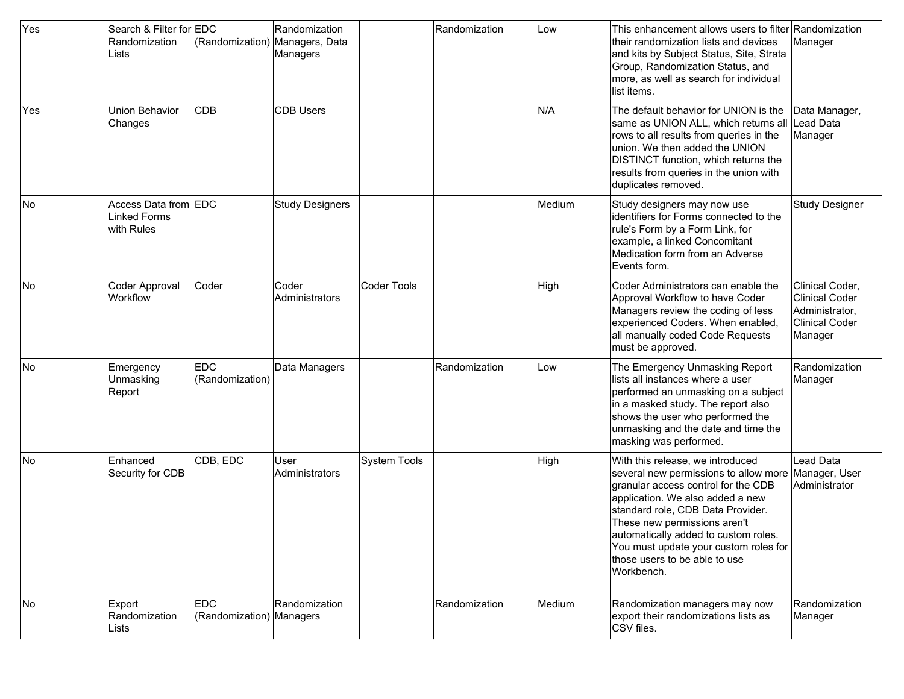| Yes        | Search & Filter for EDC<br>Randomization<br>Lists         | (Randomization) Managers, Data         | Randomization<br>Managers |              | Randomization | Low    | This enhancement allows users to filter Randomization<br>their randomization lists and devices<br>and kits by Subject Status, Site, Strata<br>Group, Randomization Status, and<br>more, as well as search for individual<br>list items.                                                                                                                                 | Manager                                                                          |
|------------|-----------------------------------------------------------|----------------------------------------|---------------------------|--------------|---------------|--------|-------------------------------------------------------------------------------------------------------------------------------------------------------------------------------------------------------------------------------------------------------------------------------------------------------------------------------------------------------------------------|----------------------------------------------------------------------------------|
| <b>Yes</b> | Union Behavior<br>Changes                                 | <b>CDB</b>                             | <b>CDB Users</b>          |              |               | N/A    | The default behavior for UNION is the<br>same as UNION ALL, which returns all Lead Data<br>rows to all results from queries in the<br>lunion. We then added the UNION<br>DISTINCT function, which returns the<br>results from queries in the union with<br>duplicates removed.                                                                                          | Data Manager,<br>Manager                                                         |
| No         | Access Data from EDC<br><b>Linked Forms</b><br>with Rules |                                        | <b>Study Designers</b>    |              |               | Medium | Study designers may now use<br>identifiers for Forms connected to the<br>rule's Form by a Form Link, for<br>example, a linked Concomitant<br>Medication form from an Adverse<br>Events form.                                                                                                                                                                            | <b>Study Designer</b>                                                            |
| lNo        | <b>Coder Approval</b><br>Workflow                         | Coder                                  | Coder<br>Administrators   | Coder Tools  |               | High   | Coder Administrators can enable the<br>Approval Workflow to have Coder<br>Managers review the coding of less<br>experienced Coders. When enabled,<br>all manually coded Code Requests<br>must be approved.                                                                                                                                                              | Clinical Coder,<br>Clinical Coder<br>Administrator,<br>Clinical Coder<br>Manager |
| <b>No</b>  | Emergency<br>Unmasking<br>Report                          | <b>EDC</b><br>(Randomization)          | Data Managers             |              | Randomization | Low    | The Emergency Unmasking Report<br>lists all instances where a user<br>performed an unmasking on a subject<br>in a masked study. The report also<br>shows the user who performed the<br>unmasking and the date and time the<br>masking was performed.                                                                                                                    | Randomization<br>Manager                                                         |
| No         | Enhanced<br>Security for CDB                              | CDB, EDC                               | lUser<br>Administrators   | System Tools |               | High   | With this release, we introduced<br>several new permissions to allow more Manager, User<br>granular access control for the CDB<br>application. We also added a new<br>standard role, CDB Data Provider.<br>These new permissions aren't<br>automatically added to custom roles.<br>You must update your custom roles for<br>those users to be able to use<br>Workbench. | Lead Data<br>Administrator                                                       |
| No         | Export<br>Randomization<br>Lists                          | <b>EDC</b><br>(Randomization) Managers | Randomization             |              | Randomization | Medium | Randomization managers may now<br>export their randomizations lists as<br>CSV files.                                                                                                                                                                                                                                                                                    | Randomization<br>Manager                                                         |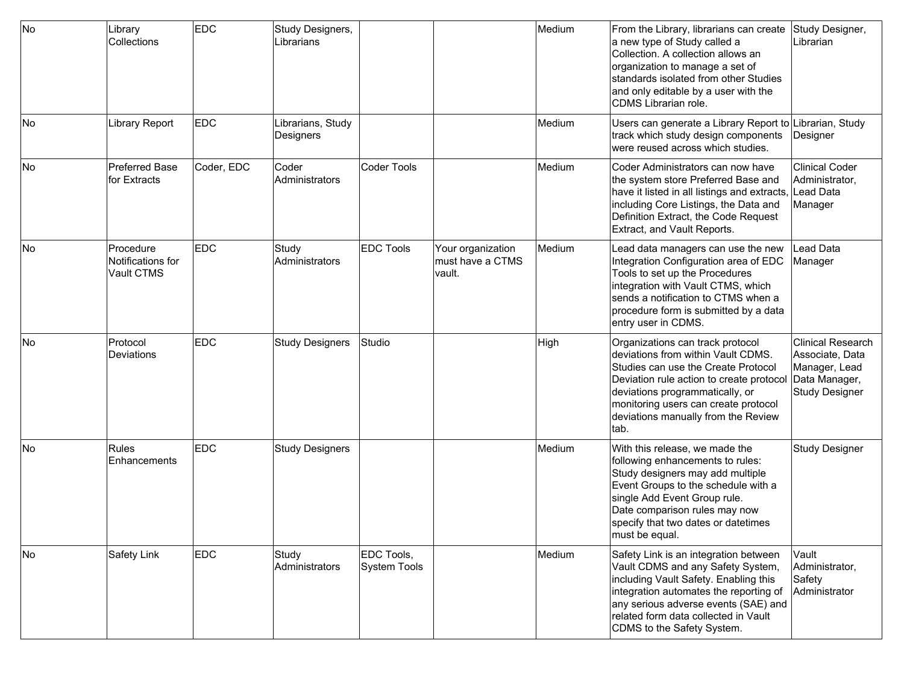| No | Library<br>Collections                       | <b>EDC</b> | Study Designers,<br>Librarians |                            |                                                 | Medium | From the Library, librarians can create Study Designer,<br>a new type of Study called a<br>Collection. A collection allows an<br>organization to manage a set of<br>standards isolated from other Studies<br>and only editable by a user with the<br>CDMS Librarian role.            | Librarian                                                                                              |
|----|----------------------------------------------|------------|--------------------------------|----------------------------|-------------------------------------------------|--------|--------------------------------------------------------------------------------------------------------------------------------------------------------------------------------------------------------------------------------------------------------------------------------------|--------------------------------------------------------------------------------------------------------|
| No | Library Report                               | <b>EDC</b> | Librarians, Study<br>Designers |                            |                                                 | Medium | Users can generate a Library Report to Librarian, Study<br>track which study design components<br>were reused across which studies.                                                                                                                                                  | Designer                                                                                               |
| No | <b>Preferred Base</b><br>for Extracts        | Coder, EDC | Coder<br>Administrators        | <b>Coder Tools</b>         |                                                 | Medium | Coder Administrators can now have<br>the system store Preferred Base and<br>have it listed in all listings and extracts, Lead Data<br>including Core Listings, the Data and<br>Definition Extract, the Code Request<br>Extract, and Vault Reports.                                   | <b>Clinical Coder</b><br>Administrator,<br>Manager                                                     |
| No | Procedure<br>Notifications for<br>Vault CTMS | <b>EDC</b> | Study<br>Administrators        | <b>EDC Tools</b>           | Your organization<br>must have a CTMS<br>vault. | Medium | Lead data managers can use the new<br>Integration Configuration area of EDC<br>Tools to set up the Procedures<br>integration with Vault CTMS, which<br>sends a notification to CTMS when a<br>procedure form is submitted by a data<br>entry user in CDMS.                           | Lead Data<br>Manager                                                                                   |
| No | Protocol<br>Deviations                       | <b>EDC</b> | <b>Study Designers</b>         | Studio                     |                                                 | High   | Organizations can track protocol<br>deviations from within Vault CDMS.<br>Studies can use the Create Protocol<br>Deviation rule action to create protocol<br>deviations programmatically, or<br>monitoring users can create protocol<br>deviations manually from the Review<br>ltab. | <b>Clinical Research</b><br>Associate, Data<br>Manager, Lead<br>Data Manager,<br><b>Study Designer</b> |
| No | Rules<br>Enhancements                        | <b>EDC</b> | <b>Study Designers</b>         |                            |                                                 | Medium | With this release, we made the<br>following enhancements to rules:<br>Study designers may add multiple<br>Event Groups to the schedule with a<br>single Add Event Group rule.<br>Date comparison rules may now<br>specify that two dates or datetimes<br>must be equal.              | <b>Study Designer</b>                                                                                  |
| No | Safety Link                                  | <b>EDC</b> | Study<br>Administrators        | EDC Tools,<br>System Tools |                                                 | Medium | Safety Link is an integration between<br>Vault CDMS and any Safety System,<br>including Vault Safety. Enabling this<br>integration automates the reporting of<br>any serious adverse events (SAE) and<br>related form data collected in Vault<br>CDMS to the Safety System.          | Vault<br>Administrator,<br>Safety<br>Administrator                                                     |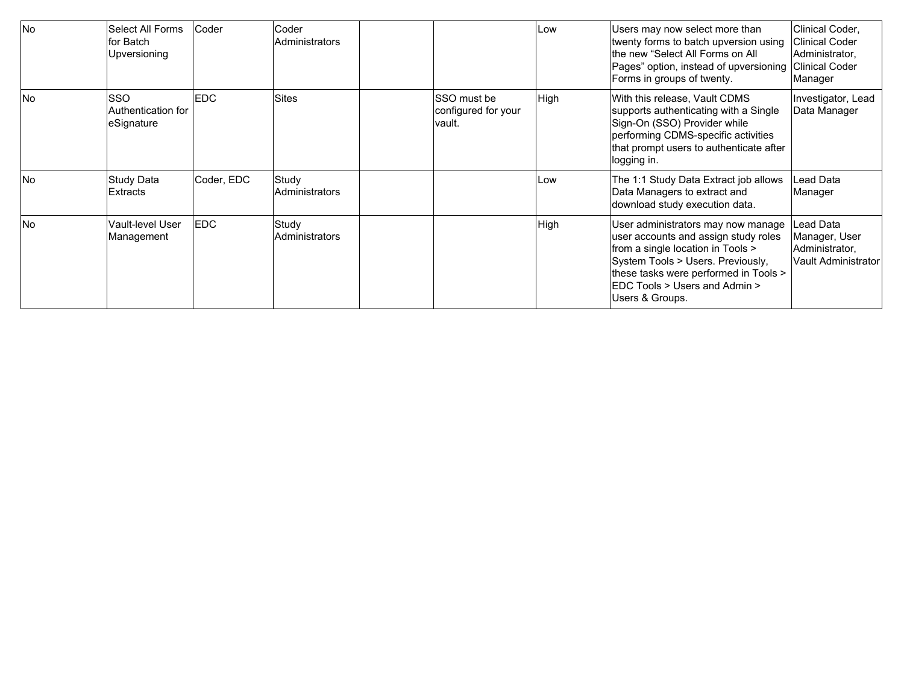| <b>No</b> | Select All Forms<br>for Batch<br>Upversioning | Coder      | Coder<br>Administrators |                                              | Low  | Users may now select more than<br>twenty forms to batch upversion using<br>lthe new "Select All Forms on All<br>Pages" option, instead of upversioning<br>Forms in groups of twenty.                                                                           | Clinical Coder,<br>Clinical Coder<br>Administrator,<br><b>Clinical Coder</b><br>Manager |
|-----------|-----------------------------------------------|------------|-------------------------|----------------------------------------------|------|----------------------------------------------------------------------------------------------------------------------------------------------------------------------------------------------------------------------------------------------------------------|-----------------------------------------------------------------------------------------|
| <b>No</b> | SSO<br>Authentication for<br>leSignature      | <b>EDC</b> | Sites                   | SSO must be<br>configured for your<br>vault. | High | With this release, Vault CDMS<br>supports authenticating with a Single<br>Sign-On (SSO) Provider while<br>performing CDMS-specific activities<br>that prompt users to authenticate after<br>logging in.                                                        | Investigator, Lead<br>Data Manager                                                      |
| <b>No</b> | Study Data<br>Extracts                        | Coder, EDC | Study<br>Administrators |                                              | Low  | The 1:1 Study Data Extract job allows<br>Data Managers to extract and<br>download study execution data.                                                                                                                                                        | Lead Data<br>Manager                                                                    |
| No        | Vault-level User<br>Management                | <b>EDC</b> | Study<br>Administrators |                                              | High | User administrators may now manage<br>user accounts and assign study roles<br>from a single location in Tools ><br>System Tools > Users. Previously,<br>these tasks were performed in Tools ><br><b>EDC Tools &gt; Users and Admin &gt;</b><br>Users & Groups. | Lead Data<br>Manager, User<br>Administrator,<br><b>Vault Administrator</b>              |